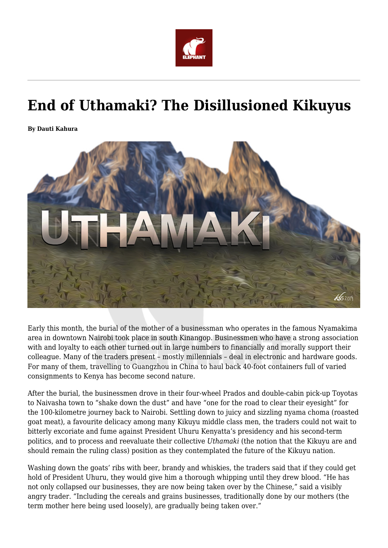

## **End of Uthamaki? The Disillusioned Kikuyus**

**By Dauti Kahura**



Early this month, the burial of the mother of a businessman who operates in the famous Nyamakima area in downtown Nairobi took place in south Kinangop. Businessmen who have a strong association with and loyalty to each other turned out in large numbers to financially and morally support their colleague. Many of the traders present – mostly millennials – deal in electronic and hardware goods. For many of them, travelling to Guangzhou in China to haul back 40-foot containers full of varied consignments to Kenya has become second nature.

After the burial, the businessmen drove in their four-wheel Prados and double-cabin pick-up Toyotas to Naivasha town to "shake down the dust" and have "one for the road to clear their eyesight" for the 100-kilometre journey back to Nairobi. Settling down to juicy and sizzling nyama choma (roasted goat meat), a favourite delicacy among many Kikuyu middle class men, the traders could not wait to bitterly excoriate and fume against President Uhuru Kenyatta's presidency and his second-term politics, and to process and reevaluate their collective *Uthamaki* (the notion that the Kikuyu are and should remain the ruling class) position as they contemplated the future of the Kikuyu nation.

Washing down the goats' ribs with beer, brandy and whiskies, the traders said that if they could get hold of President Uhuru, they would give him a thorough whipping until they drew blood. "He has not only collapsed our businesses, they are now being taken over by the Chinese," said a visibly angry trader. "Including the cereals and grains businesses, traditionally done by our mothers (the term mother here being used loosely), are gradually being taken over."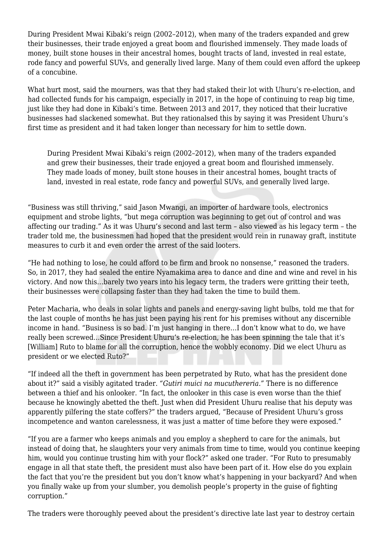During President Mwai Kibaki's reign (2002–2012), when many of the traders expanded and grew their businesses, their trade enjoyed a great boom and flourished immensely. They made loads of money, built stone houses in their ancestral homes, bought tracts of land, invested in real estate, rode fancy and powerful SUVs, and generally lived large. Many of them could even afford the upkeep of a concubine.

What hurt most, said the mourners, was that they had staked their lot with Uhuru's re-election, and had collected funds for his campaign, especially in 2017, in the hope of continuing to reap big time, just like they had done in Kibaki's time. Between 2013 and 2017, they noticed that their lucrative businesses had slackened somewhat. But they rationalsed this by saying it was President Uhuru's first time as president and it had taken longer than necessary for him to settle down.

During President Mwai Kibaki's reign (2002–2012), when many of the traders expanded and grew their businesses, their trade enjoyed a great boom and flourished immensely. They made loads of money, built stone houses in their ancestral homes, bought tracts of land, invested in real estate, rode fancy and powerful SUVs, and generally lived large.

"Business was still thriving," said Jason Mwangi, an importer of hardware tools, electronics equipment and strobe lights, "but mega corruption was beginning to get out of control and was affecting our trading." As it was Uhuru's second and last term – also viewed as his legacy term – the trader told me, the businessmen had hoped that the president would rein in runaway graft, institute measures to curb it and even order the arrest of the said looters.

"He had nothing to lose, he could afford to be firm and brook no nonsense," reasoned the traders. So, in 2017, they had sealed the entire Nyamakima area to dance and dine and wine and revel in his victory. And now this…barely two years into his legacy term, the traders were gritting their teeth, their businesses were collapsing faster than they had taken the time to build them.

Peter Macharia, who deals in solar lights and panels and energy-saving light bulbs, told me that for the last couple of months he has just been paying his rent for his premises without any discernible income in hand. "Business is so bad. I'm just hanging in there…I don't know what to do, we have really been screwed…Since President Uhuru's re-election, he has been spinning the tale that it's [William] Ruto to blame for all the corruption, hence the wobbly economy. Did we elect Uhuru as president or we elected Ruto?"

"If indeed all the theft in government has been perpetrated by Ruto, what has the president done about it?" said a visibly agitated trader. *"Gutiri muici na mucuthereria."* There is no difference between a thief and his onlooker. "In fact, the onlooker in this case is even worse than the thief because he knowingly abetted the theft. Just when did President Uhuru realise that his deputy was apparently pilfering the state coffers?" the traders argued, "Because of President Uhuru's gross incompetence and wanton carelessness, it was just a matter of time before they were exposed."

"If you are a farmer who keeps animals and you employ a shepherd to care for the animals, but instead of doing that, he slaughters your very animals from time to time, would you continue keeping him, would you continue trusting him with your flock?" asked one trader. "For Ruto to presumably engage in all that state theft, the president must also have been part of it. How else do you explain the fact that you're the president but you don't know what's happening in your backyard? And when you finally wake up from your slumber, you demolish people's property in the guise of fighting corruption."

The traders were thoroughly peeved about the president's directive late last year to destroy certain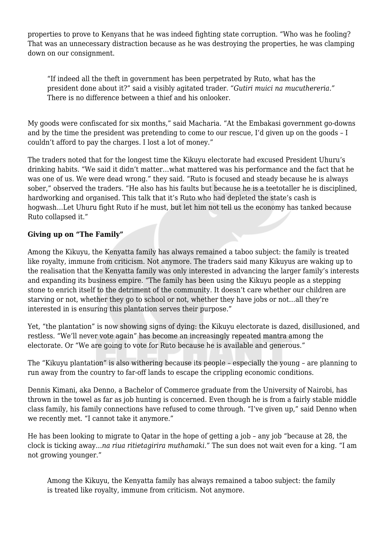properties to prove to Kenyans that he was indeed fighting state corruption. "Who was he fooling? That was an unnecessary distraction because as he was destroying the properties, he was clamping down on our consignment.

"If indeed all the theft in government has been perpetrated by Ruto, what has the president done about it?" said a visibly agitated trader. *"Gutiri muici na mucuthereria."* There is no difference between a thief and his onlooker.

My goods were confiscated for six months," said Macharia. "At the Embakasi government go-downs and by the time the president was pretending to come to our rescue, I'd given up on the goods – I couldn't afford to pay the charges. I lost a lot of money."

The traders noted that for the longest time the Kikuyu electorate had excused President Uhuru's drinking habits. "We said it didn't matter…what mattered was his performance and the fact that he was one of us. We were dead wrong." they said. "Ruto is focused and steady because he is always sober," observed the traders. "He also has his faults but because he is a teetotaller he is disciplined, hardworking and organised. This talk that it's Ruto who had depleted the state's cash is hogwash…Let Uhuru fight Ruto if he must, but let him not tell us the economy has tanked because Ruto collapsed it."

## **Giving up on "The Family"**

Among the Kikuyu, the Kenyatta family has always remained a taboo subject: the family is treated like royalty, immune from criticism. Not anymore. The traders said many Kikuyus are waking up to the realisation that the Kenyatta family was only interested in advancing the larger family's interests and expanding its business empire. "The family has been using the Kikuyu people as a stepping stone to enrich itself to the detriment of the community. It doesn't care whether our children are starving or not, whether they go to school or not, whether they have jobs or not…all they're interested in is ensuring this plantation serves their purpose."

Yet, "the plantation" is now showing signs of dying: the Kikuyu electorate is dazed, disillusioned, and restless. "We'll never vote again" has become an increasingly repeated mantra among the electorate. Or "We are going to vote for Ruto because he is available and generous."

The "Kikuyu plantation" is also withering because its people – especially the young – are planning to run away from the country to far-off lands to escape the crippling economic conditions.

Dennis Kimani, aka Denno, a Bachelor of Commerce graduate from the University of Nairobi, has thrown in the towel as far as job hunting is concerned. Even though he is from a fairly stable middle class family, his family connections have refused to come through. "I've given up," said Denno when we recently met. "I cannot take it anymore."

He has been looking to migrate to Qatar in the hope of getting a job – any job "because at 28, the clock is ticking away…*na riua ritietagirira muthamaki."* The sun does not wait even for a king. "I am not growing younger."

Among the Kikuyu, the Kenyatta family has always remained a taboo subject: the family is treated like royalty, immune from criticism. Not anymore.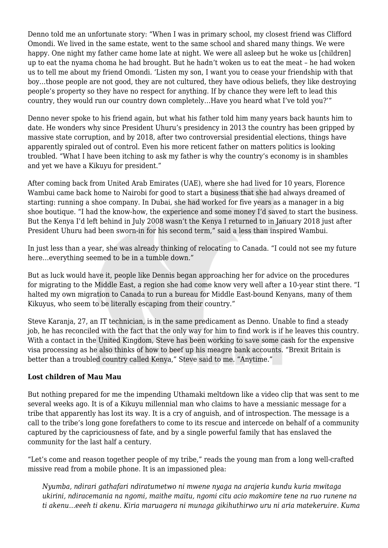Denno told me an unfortunate story: "When I was in primary school, my closest friend was Clifford Omondi. We lived in the same estate, went to the same school and shared many things. We were happy. One night my father came home late at night. We were all asleep but he woke us [children] up to eat the nyama choma he had brought. But he hadn't woken us to eat the meat – he had woken us to tell me about my friend Omondi. 'Listen my son, I want you to cease your friendship with that boy…those people are not good, they are not cultured, they have odious beliefs, they like destroying people's property so they have no respect for anything. If by chance they were left to lead this country, they would run our country down completely…Have you heard what I've told you?'"

Denno never spoke to his friend again, but what his father told him many years back haunts him to date. He wonders why since President Uhuru's presidency in 2013 the country has been gripped by massive state corruption, and by 2018, after two controversial presidential elections, things have apparently spiraled out of control. Even his more reticent father on matters politics is looking troubled. "What I have been itching to ask my father is why the country's economy is in shambles and yet we have a Kikuyu for president."

After coming back from United Arab Emirates (UAE), where she had lived for 10 years, Florence Wambui came back home to Nairobi for good to start a business that she had always dreamed of starting: running a shoe company. In Dubai, she had worked for five years as a manager in a big shoe boutique. "I had the know-how, the experience and some money I'd saved to start the business. But the Kenya I'd left behind in July 2008 wasn't the Kenya I returned to in January 2018 just after President Uhuru had been sworn-in for his second term," said a less than inspired Wambui.

In just less than a year, she was already thinking of relocating to Canada. "I could not see my future here…everything seemed to be in a tumble down."

But as luck would have it, people like Dennis began approaching her for advice on the procedures for migrating to the Middle East, a region she had come know very well after a 10-year stint there. "I halted my own migration to Canada to run a bureau for Middle East-bound Kenyans, many of them Kikuyus, who seem to be literally escaping from their country."

Steve Karanja, 27, an IT technician, is in the same predicament as Denno. Unable to find a steady job, he has reconciled with the fact that the only way for him to find work is if he leaves this country. With a contact in the United Kingdom, Steve has been working to save some cash for the expensive visa processing as he also thinks of how to beef up his meagre bank accounts. "Brexit Britain is better than a troubled country called Kenya," Steve said to me. "Anytime."

## **Lost children of Mau Mau**

But nothing prepared for me the impending Uthamaki meltdown like a video clip that was sent to me several weeks ago. It is of a Kikuyu millennial man who claims to have a messianic message for a tribe that apparently has lost its way. It is a cry of anguish, and of introspection. The message is a call to the tribe's long gone forefathers to come to its rescue and intercede on behalf of a community captured by the capriciousness of fate, and by a single powerful family that has enslaved the community for the last half a century.

"Let's come and reason together people of my tribe," reads the young man from a long well-crafted missive read from a mobile phone. It is an impassioned plea:

*Nyumba, ndirari gathafari ndiratumetwo ni mwene nyaga na arajeria kundu kuria mwitaga ukirini, ndiracemania na ngomi, maithe maitu, ngomi citu acio makomire tene na ruo runene na ti akenu…eeeh ti akenu. Kiria maruagera ni munaga gikihuthirwo uru ni aria matekeruire. Kuma*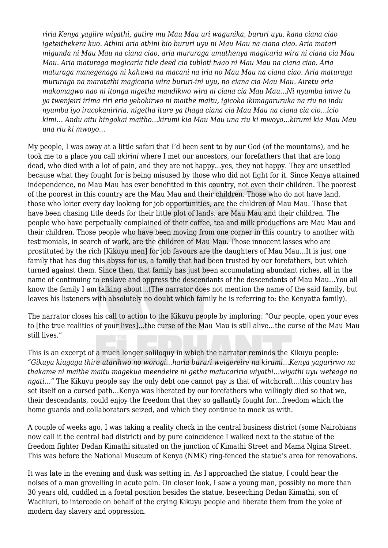*riria Kenya yagiire wiyathi, gutire mu Mau Mau uri wagunika, bururi uyu, kana ciana ciao igeteithekera kuo. Athini aria athini bio bururi uyu ni Mau Mau na ciana ciao. Aria matari migunda ni Mau Mau na ciana ciao, aria mururaga umuthenya magicaria wira ni ciana cia Mau Mau. Aria maturaga magicaria title deed cia tubloti twao ni Mau Mau na ciana ciao. Aria maturaga manegenaga ni kahuwa na macani na iria no Mau Mau na ciana ciao. Aria maturaga mururaga na maratathi magicaria wira bururi-ini uyu, no ciana cia Mau Mau. Airetu aria makomagwo nao ni itonga nigetha mandikwo wira ni ciana cia Mau Mau…Ni nyumba imwe tu ya twenjeiri irima riri eria yehokirwo ni maithe maitu, igicoka ikimagaruruka na riu no indu nyumba iyo iracokaniriria, nigetha iture ya thaga ciana cia Mau Mau na ciana cia cio…icio kimi… Andu aitu hingokai maitho…kirumi kia Mau Mau una riu ki mwoyo…kirumi kia Mau Mau una riu ki mwoyo…*

My people, I was away at a little safari that I'd been sent to by our God (of the mountains), and he took me to a place you call *ukirini* where I met our ancestors, our forefathers that that are long dead, who died with a lot of pain, and they are not happy…yes, they not happy. They are unsettled because what they fought for is being misused by those who did not fight for it. Since Kenya attained independence, no Mau Mau has ever benefitted in this country, not even their children. The poorest of the poorest in this country are the Mau Mau and their children. Those who do not have land, those who loiter every day looking for job opportunities, are the children of Mau Mau. Those that have been chasing title deeds for their little plot of lands, are Mau Mau and their children. The people who have perpetually complained of their coffee, tea and milk productions are Mau Mau and their children. Those people who have been moving from one corner in this country to another with testimonials, in search of work, are the children of Mau Mau. Those innocent lasses who are prostituted by the rich [Kikuyu men] for job favours are the daughters of Mau Mau…It is just one family that has dug this abyss for us, a family that had been trusted by our forefathers, but which turned against them. Since then, that family has just been accumulating abundant riches, all in the name of continuing to enslave and oppress the descendants of the descendants of Mau Mau…You all know the family I am talking about…(The narrator does not mention the name of the said family, but leaves his listeners with absolutely no doubt which family he is referring to: the Kenyatta family).

The narrator closes his call to action to the Kikuyu people by imploring: "Our people, open your eyes to [the true realities of your lives]…the curse of the Mau Mau is still alive…the curse of the Mau Mau still lives."

This is an excerpt of a much longer soliloquy in which the narrator reminds the Kikuyu people: *"Gikuyu kiugaga thire utarihwo no worogi…haria bururi weigereire na kirumi…Kenya yagurirwo na thakame ni maithe maitu magekua meendeire ni getha matucariria wiyathi…wiyathi uyu weteaga na ngati…"* The Kikuyu people say the only debt one cannot pay is that of witchcraft…this country has set itself on a cursed path…Kenya was liberated by our forefathers who willingly died so that we, their descendants, could enjoy the freedom that they so gallantly fought for…freedom which the home guards and collaborators seized, and which they continue to mock us with.

A couple of weeks ago, I was taking a reality check in the central business district (some Nairobians now call it the central bad district) and by pure coincidence I walked next to the statue of the freedom fighter Dedan Kimathi situated on the junction of Kimathi Street and Mama Ngina Street. This was before the National Museum of Kenya (NMK) ring-fenced the statue's area for renovations.

It was late in the evening and dusk was setting in. As I approached the statue, I could hear the noises of a man grovelling in acute pain. On closer look, I saw a young man, possibly no more than 30 years old, cuddled in a foetal position besides the statue, beseeching Dedan Kimathi, son of Wachiuri, to intercede on behalf of the crying Kikuyu people and liberate them from the yoke of modern day slavery and oppression.